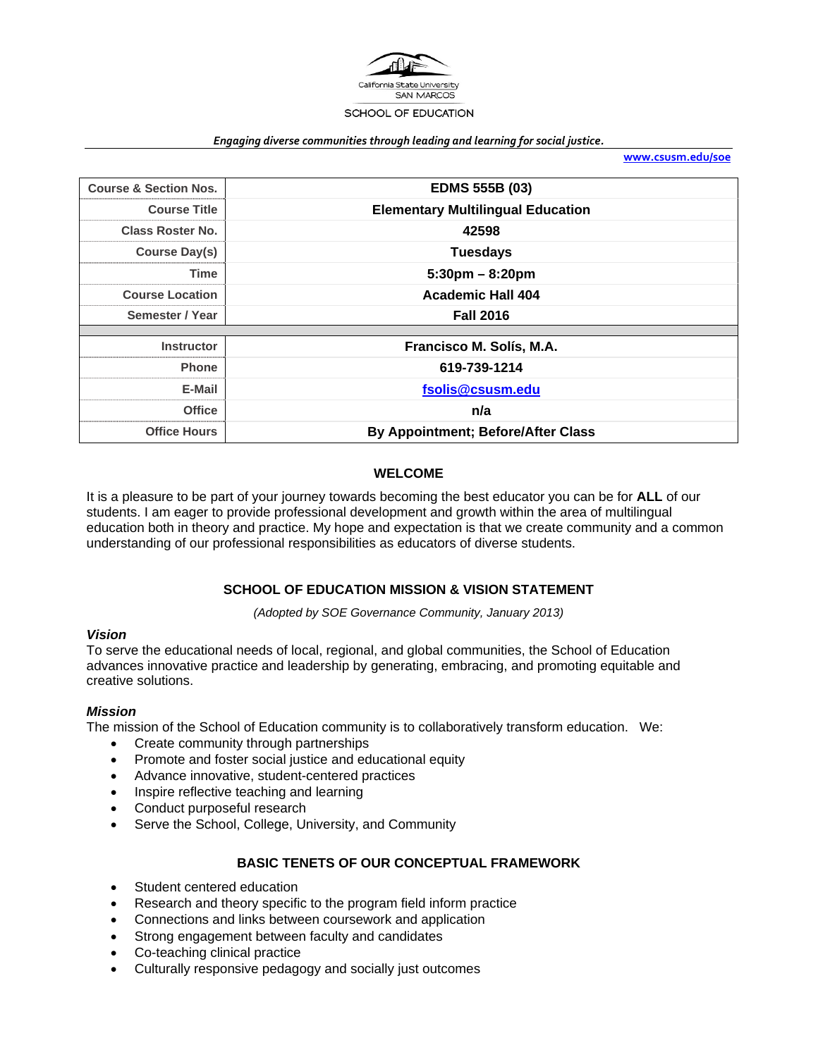

#### *Engaging diverse communities through leading and learning for social justice.*

**www.csusm.edu/soe**

| <b>Course &amp; Section Nos.</b> | <b>EDMS 555B (03)</b>                     |  |
|----------------------------------|-------------------------------------------|--|
| <b>Course Title</b>              | <b>Elementary Multilingual Education</b>  |  |
| <b>Class Roster No.</b>          | 42598                                     |  |
| Course Day(s)                    | <b>Tuesdays</b>                           |  |
| <b>Time</b>                      | $5:30 \text{pm} - 8:20 \text{pm}$         |  |
| <b>Course Location</b>           | <b>Academic Hall 404</b>                  |  |
| Semester / Year                  | <b>Fall 2016</b>                          |  |
|                                  |                                           |  |
| <b>Instructor</b>                | Francisco M. Solís, M.A.                  |  |
| <b>Phone</b>                     | 619-739-1214                              |  |
| E-Mail                           | fsolis@csusm.edu                          |  |
| <b>Office</b>                    | n/a                                       |  |
| <b>Office Hours</b>              | <b>By Appointment; Before/After Class</b> |  |

#### **WELCOME**

It is a pleasure to be part of your journey towards becoming the best educator you can be for **ALL** of our students. I am eager to provide professional development and growth within the area of multilingual education both in theory and practice. My hope and expectation is that we create community and a common understanding of our professional responsibilities as educators of diverse students.

### **SCHOOL OF EDUCATION MISSION & VISION STATEMENT**

*(Adopted by SOE Governance Community, January 2013)* 

#### *Vision*

To serve the educational needs of local, regional, and global communities, the School of Education advances innovative practice and leadership by generating, embracing, and promoting equitable and creative solutions.

#### *Mission*

The mission of the School of Education community is to collaboratively transform education. We:

- Create community through partnerships
- Promote and foster social justice and educational equity
- Advance innovative, student-centered practices
- Inspire reflective teaching and learning
- Conduct purposeful research
- Serve the School, College, University, and Community

#### **BASIC TENETS OF OUR CONCEPTUAL FRAMEWORK**

- Student centered education
- Research and theory specific to the program field inform practice
- Connections and links between coursework and application
- Strong engagement between faculty and candidates
- Co-teaching clinical practice
- Culturally responsive pedagogy and socially just outcomes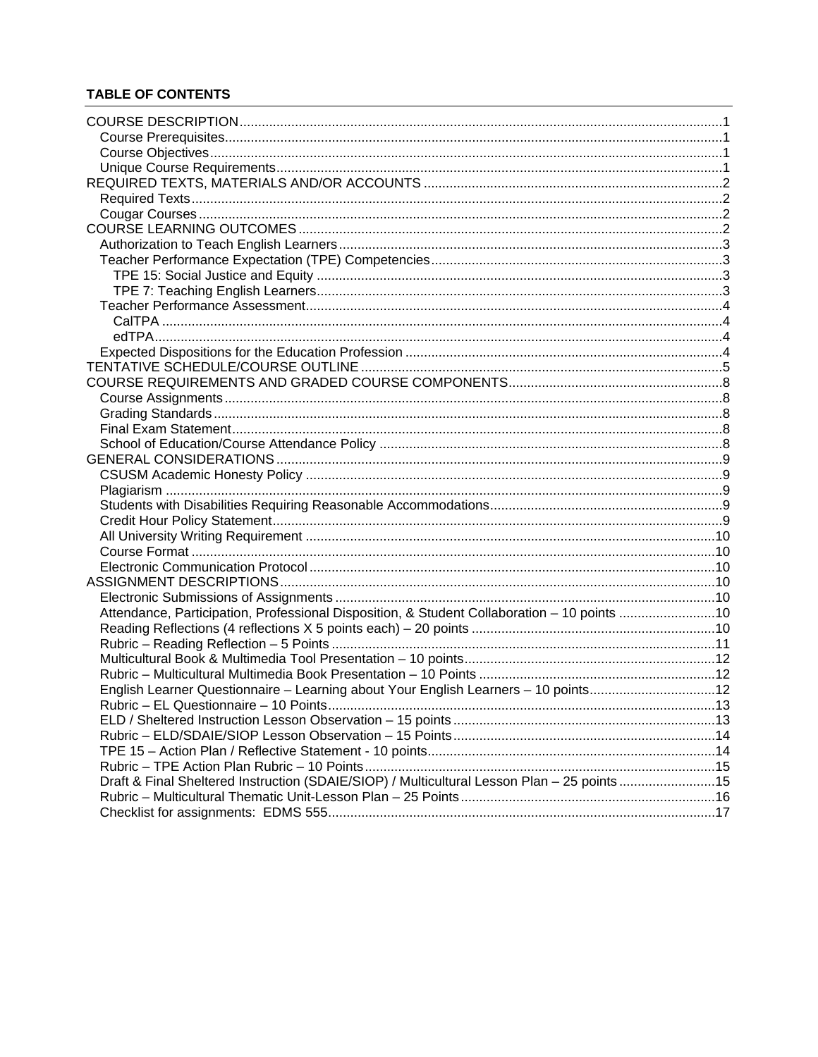## **TABLE OF CONTENTS**

| Attendance, Participation, Professional Disposition, & Student Collaboration - 10 points 10 |  |
|---------------------------------------------------------------------------------------------|--|
|                                                                                             |  |
|                                                                                             |  |
|                                                                                             |  |
|                                                                                             |  |
| English Learner Questionnaire - Learning about Your English Learners - 10 points12          |  |
|                                                                                             |  |
|                                                                                             |  |
|                                                                                             |  |
|                                                                                             |  |
|                                                                                             |  |
| Draft & Final Sheltered Instruction (SDAIE/SIOP) / Multicultural Lesson Plan - 25 points15  |  |
|                                                                                             |  |
|                                                                                             |  |
|                                                                                             |  |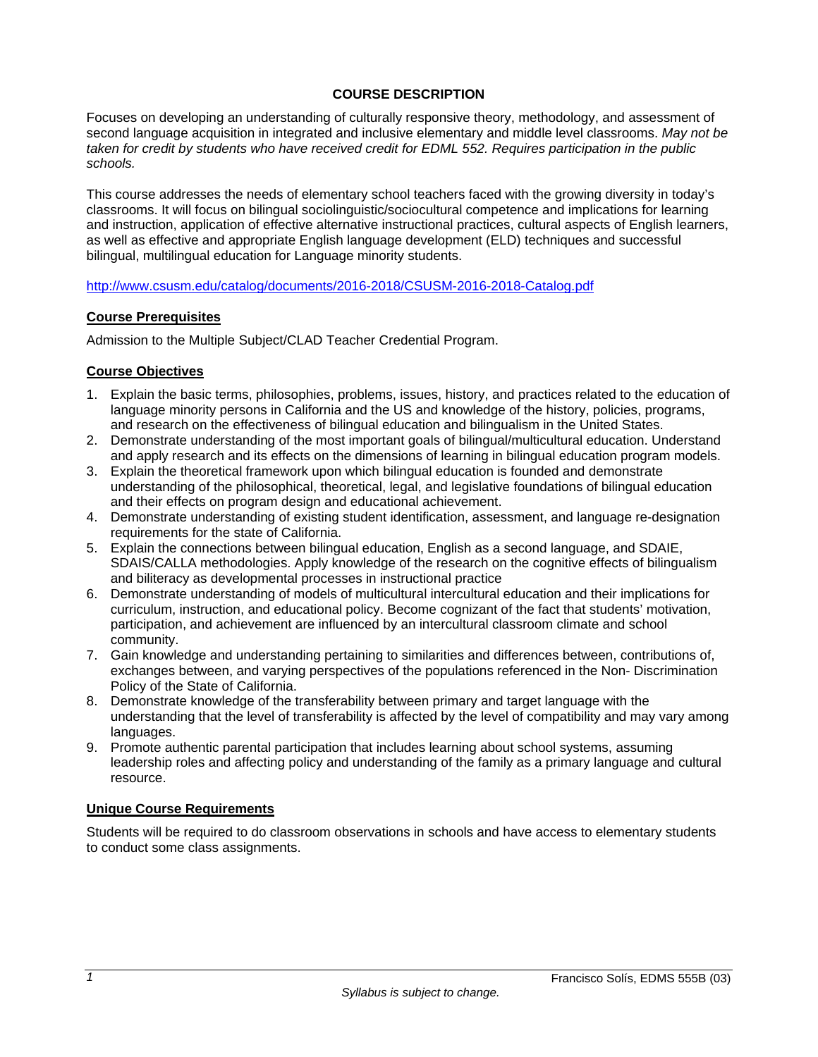### **COURSE DESCRIPTION**

Focuses on developing an understanding of culturally responsive theory, methodology, and assessment of second language acquisition in integrated and inclusive elementary and middle level classrooms. *May not be taken for credit by students who have received credit for EDML 552. Requires participation in the public schools.* 

This course addresses the needs of elementary school teachers faced with the growing diversity in today's classrooms. It will focus on bilingual sociolinguistic/sociocultural competence and implications for learning and instruction, application of effective alternative instructional practices, cultural aspects of English learners, as well as effective and appropriate English language development (ELD) techniques and successful bilingual, multilingual education for Language minority students.

#### http://www.csusm.edu/catalog/documents/2016-2018/CSUSM-2016-2018-Catalog.pdf

#### **Course Prerequisites**

Admission to the Multiple Subject/CLAD Teacher Credential Program.

### **Course Objectives**

- 1. Explain the basic terms, philosophies, problems, issues, history, and practices related to the education of language minority persons in California and the US and knowledge of the history, policies, programs, and research on the effectiveness of bilingual education and bilingualism in the United States.
- 2. Demonstrate understanding of the most important goals of bilingual/multicultural education. Understand and apply research and its effects on the dimensions of learning in bilingual education program models.
- 3. Explain the theoretical framework upon which bilingual education is founded and demonstrate understanding of the philosophical, theoretical, legal, and legislative foundations of bilingual education and their effects on program design and educational achievement.
- 4. Demonstrate understanding of existing student identification, assessment, and language re-designation requirements for the state of California.
- 5. Explain the connections between bilingual education, English as a second language, and SDAIE, SDAIS/CALLA methodologies. Apply knowledge of the research on the cognitive effects of bilingualism and biliteracy as developmental processes in instructional practice
- 6. Demonstrate understanding of models of multicultural intercultural education and their implications for curriculum, instruction, and educational policy. Become cognizant of the fact that students' motivation, participation, and achievement are influenced by an intercultural classroom climate and school community.
- 7. Gain knowledge and understanding pertaining to similarities and differences between, contributions of, exchanges between, and varying perspectives of the populations referenced in the Non- Discrimination Policy of the State of California.
- 8. Demonstrate knowledge of the transferability between primary and target language with the understanding that the level of transferability is affected by the level of compatibility and may vary among languages.
- 9. Promote authentic parental participation that includes learning about school systems, assuming leadership roles and affecting policy and understanding of the family as a primary language and cultural resource.

### **Unique Course Requirements**

Students will be required to do classroom observations in schools and have access to elementary students to conduct some class assignments.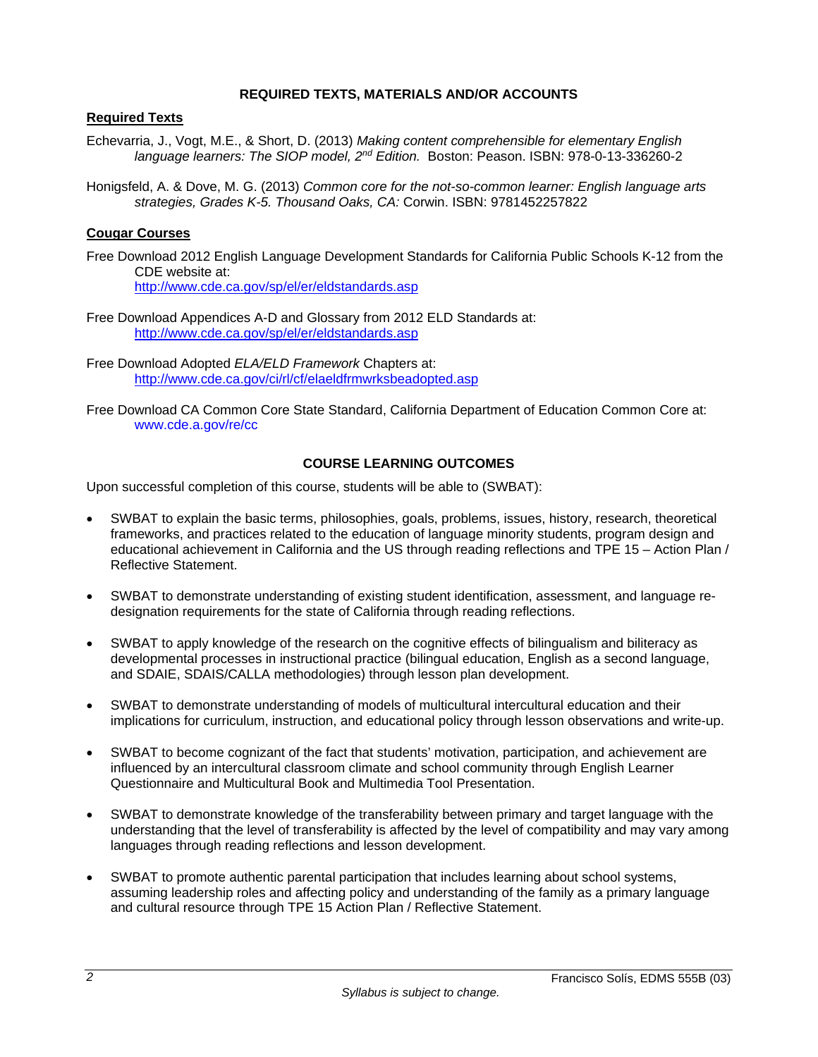#### **REQUIRED TEXTS, MATERIALS AND/OR ACCOUNTS**

### **Required Texts**

- Echevarria, J., Vogt, M.E., & Short, D. (2013) *Making content comprehensible for elementary English language learners: The SIOP model, 2nd Edition.* Boston: Peason. ISBN: 978-0-13-336260-2
- Honigsfeld, A. & Dove, M. G. (2013) *Common core for the not-so-common learner: English language arts strategies, Grades K-5. Thousand Oaks, CA:* Corwin. ISBN: 9781452257822

### **Cougar Courses**

- Free Download 2012 English Language Development Standards for California Public Schools K-12 from the CDE website at: http://www.cde.ca.gov/sp/el/er/eldstandards.asp
- Free Download Appendices A-D and Glossary from 2012 ELD Standards at: http://www.cde.ca.gov/sp/el/er/eldstandards.asp
- Free Download Adopted *ELA/ELD Framework* Chapters at: http://www.cde.ca.gov/ci/rl/cf/elaeldfrmwrksbeadopted.asp
- Free Download CA Common Core State Standard, California Department of Education Common Core at: www.cde.a.gov/re/cc

### **COURSE LEARNING OUTCOMES**

Upon successful completion of this course, students will be able to (SWBAT):

- SWBAT to explain the basic terms, philosophies, goals, problems, issues, history, research, theoretical frameworks, and practices related to the education of language minority students, program design and educational achievement in California and the US through reading reflections and TPE 15 – Action Plan / Reflective Statement.
- SWBAT to demonstrate understanding of existing student identification, assessment, and language redesignation requirements for the state of California through reading reflections.
- SWBAT to apply knowledge of the research on the cognitive effects of bilingualism and biliteracy as developmental processes in instructional practice (bilingual education, English as a second language, and SDAIE, SDAIS/CALLA methodologies) through lesson plan development.
- SWBAT to demonstrate understanding of models of multicultural intercultural education and their implications for curriculum, instruction, and educational policy through lesson observations and write-up.
- SWBAT to become cognizant of the fact that students' motivation, participation, and achievement are influenced by an intercultural classroom climate and school community through English Learner Questionnaire and Multicultural Book and Multimedia Tool Presentation.
- SWBAT to demonstrate knowledge of the transferability between primary and target language with the understanding that the level of transferability is affected by the level of compatibility and may vary among languages through reading reflections and lesson development.
- SWBAT to promote authentic parental participation that includes learning about school systems, assuming leadership roles and affecting policy and understanding of the family as a primary language and cultural resource through TPE 15 Action Plan / Reflective Statement.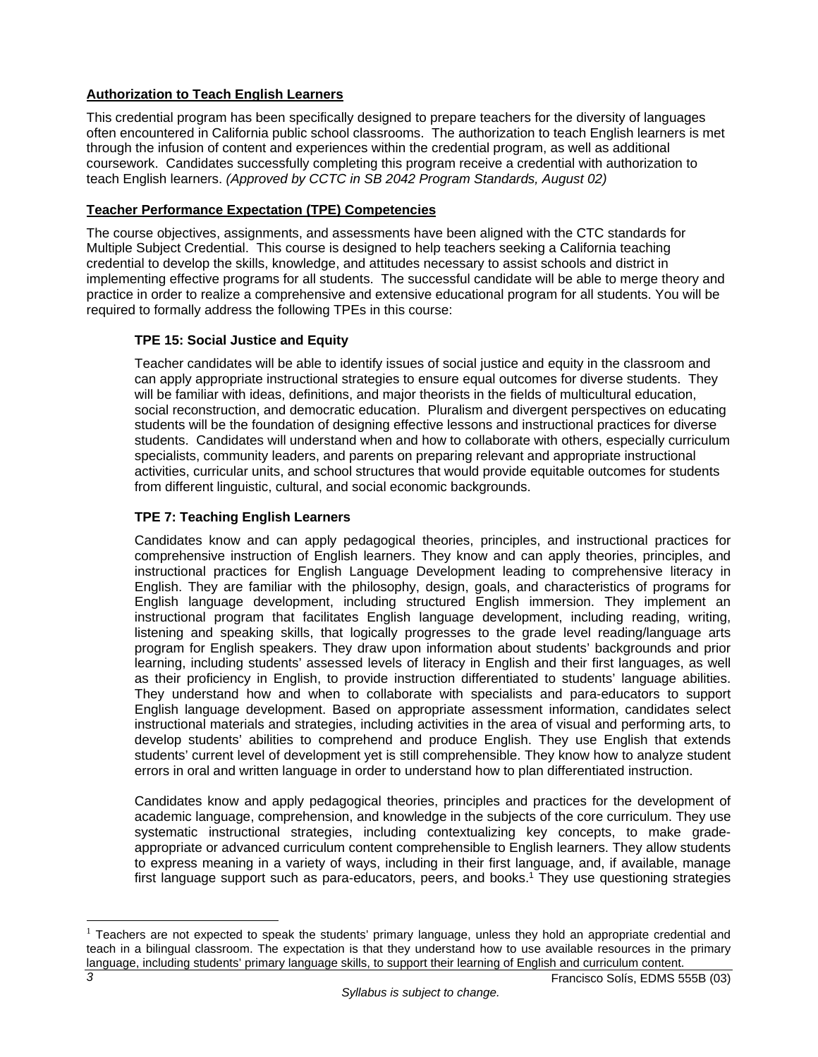## **Authorization to Teach English Learners**

This credential program has been specifically designed to prepare teachers for the diversity of languages often encountered in California public school classrooms. The authorization to teach English learners is met through the infusion of content and experiences within the credential program, as well as additional coursework. Candidates successfully completing this program receive a credential with authorization to teach English learners. *(Approved by CCTC in SB 2042 Program Standards, August 02)*

### **Teacher Performance Expectation (TPE) Competencies**

The course objectives, assignments, and assessments have been aligned with the CTC standards for Multiple Subject Credential. This course is designed to help teachers seeking a California teaching credential to develop the skills, knowledge, and attitudes necessary to assist schools and district in implementing effective programs for all students. The successful candidate will be able to merge theory and practice in order to realize a comprehensive and extensive educational program for all students. You will be required to formally address the following TPEs in this course:

## **TPE 15: Social Justice and Equity**

Teacher candidates will be able to identify issues of social justice and equity in the classroom and can apply appropriate instructional strategies to ensure equal outcomes for diverse students. They will be familiar with ideas, definitions, and major theorists in the fields of multicultural education, social reconstruction, and democratic education. Pluralism and divergent perspectives on educating students will be the foundation of designing effective lessons and instructional practices for diverse students. Candidates will understand when and how to collaborate with others, especially curriculum specialists, community leaders, and parents on preparing relevant and appropriate instructional activities, curricular units, and school structures that would provide equitable outcomes for students from different linguistic, cultural, and social economic backgrounds.

## **TPE 7: Teaching English Learners**

Candidates know and can apply pedagogical theories, principles, and instructional practices for comprehensive instruction of English learners. They know and can apply theories, principles, and instructional practices for English Language Development leading to comprehensive literacy in English. They are familiar with the philosophy, design, goals, and characteristics of programs for English language development, including structured English immersion. They implement an instructional program that facilitates English language development, including reading, writing, listening and speaking skills, that logically progresses to the grade level reading/language arts program for English speakers. They draw upon information about students' backgrounds and prior learning, including students' assessed levels of literacy in English and their first languages, as well as their proficiency in English, to provide instruction differentiated to students' language abilities. They understand how and when to collaborate with specialists and para-educators to support English language development. Based on appropriate assessment information, candidates select instructional materials and strategies, including activities in the area of visual and performing arts, to develop students' abilities to comprehend and produce English. They use English that extends students' current level of development yet is still comprehensible. They know how to analyze student errors in oral and written language in order to understand how to plan differentiated instruction.

Candidates know and apply pedagogical theories, principles and practices for the development of academic language, comprehension, and knowledge in the subjects of the core curriculum. They use systematic instructional strategies, including contextualizing key concepts, to make gradeappropriate or advanced curriculum content comprehensible to English learners. They allow students to express meaning in a variety of ways, including in their first language, and, if available, manage first language support such as para-educators, peers, and books.<sup>1</sup> They use questioning strategies

 $\overline{a}$ 

 $<sup>1</sup>$  Teachers are not expected to speak the students' primary language, unless they hold an appropriate credential and</sup> teach in a bilingual classroom. The expectation is that they understand how to use available resources in the primary language, including students' primary language skills, to support their learning of English and curriculum content.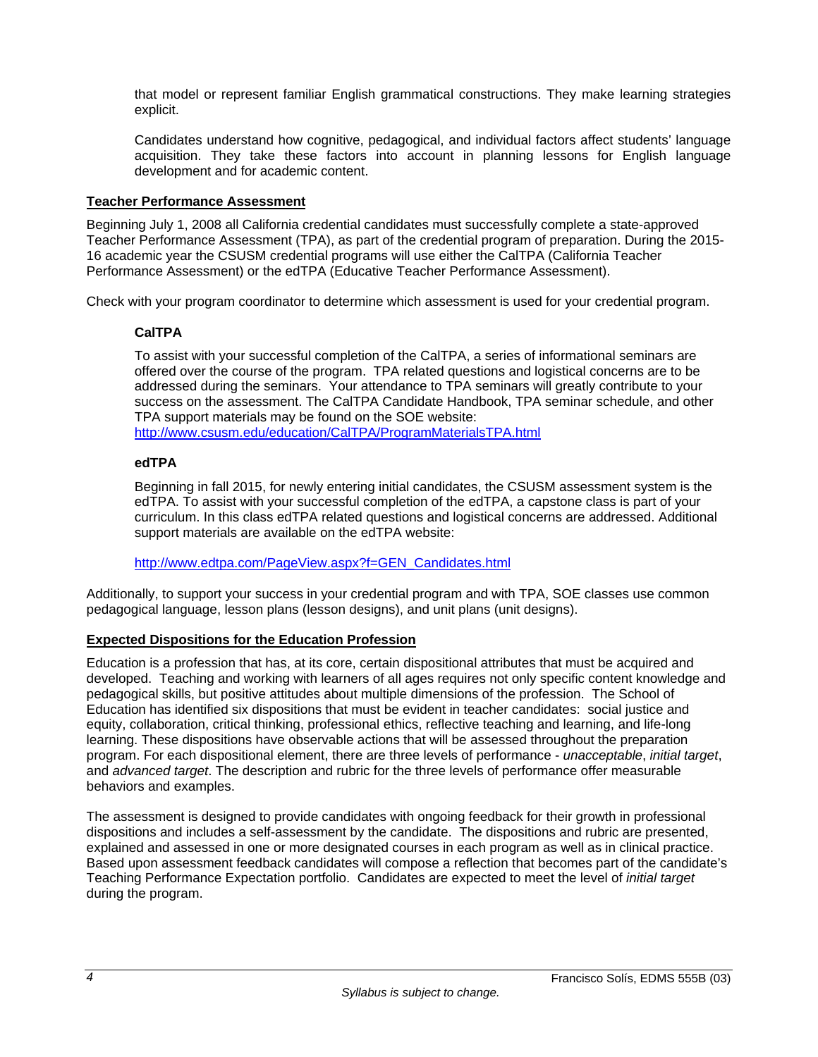that model or represent familiar English grammatical constructions. They make learning strategies explicit.

Candidates understand how cognitive, pedagogical, and individual factors affect students' language acquisition. They take these factors into account in planning lessons for English language development and for academic content.

### **Teacher Performance Assessment**

Beginning July 1, 2008 all California credential candidates must successfully complete a state-approved Teacher Performance Assessment (TPA), as part of the credential program of preparation. During the 2015- 16 academic year the CSUSM credential programs will use either the CalTPA (California Teacher Performance Assessment) or the edTPA (Educative Teacher Performance Assessment).

Check with your program coordinator to determine which assessment is used for your credential program.

### **CalTPA**

To assist with your successful completion of the CalTPA, a series of informational seminars are offered over the course of the program. TPA related questions and logistical concerns are to be addressed during the seminars. Your attendance to TPA seminars will greatly contribute to your success on the assessment. The CalTPA Candidate Handbook, TPA seminar schedule, and other TPA support materials may be found on the SOE website:

http://www.csusm.edu/education/CalTPA/ProgramMaterialsTPA.html

### **edTPA**

Beginning in fall 2015, for newly entering initial candidates, the CSUSM assessment system is the edTPA. To assist with your successful completion of the edTPA, a capstone class is part of your curriculum. In this class edTPA related questions and logistical concerns are addressed. Additional support materials are available on the edTPA website:

http://www.edtpa.com/PageView.aspx?f=GEN\_Candidates.html

Additionally, to support your success in your credential program and with TPA, SOE classes use common pedagogical language, lesson plans (lesson designs), and unit plans (unit designs).

#### **Expected Dispositions for the Education Profession**

Education is a profession that has, at its core, certain dispositional attributes that must be acquired and developed. Teaching and working with learners of all ages requires not only specific content knowledge and pedagogical skills, but positive attitudes about multiple dimensions of the profession. The School of Education has identified six dispositions that must be evident in teacher candidates: social justice and equity, collaboration, critical thinking, professional ethics, reflective teaching and learning, and life-long learning. These dispositions have observable actions that will be assessed throughout the preparation program. For each dispositional element, there are three levels of performance - *unacceptable*, *initial target*, and *advanced target*. The description and rubric for the three levels of performance offer measurable behaviors and examples.

The assessment is designed to provide candidates with ongoing feedback for their growth in professional dispositions and includes a self-assessment by the candidate. The dispositions and rubric are presented, explained and assessed in one or more designated courses in each program as well as in clinical practice. Based upon assessment feedback candidates will compose a reflection that becomes part of the candidate's Teaching Performance Expectation portfolio. Candidates are expected to meet the level of *initial target* during the program.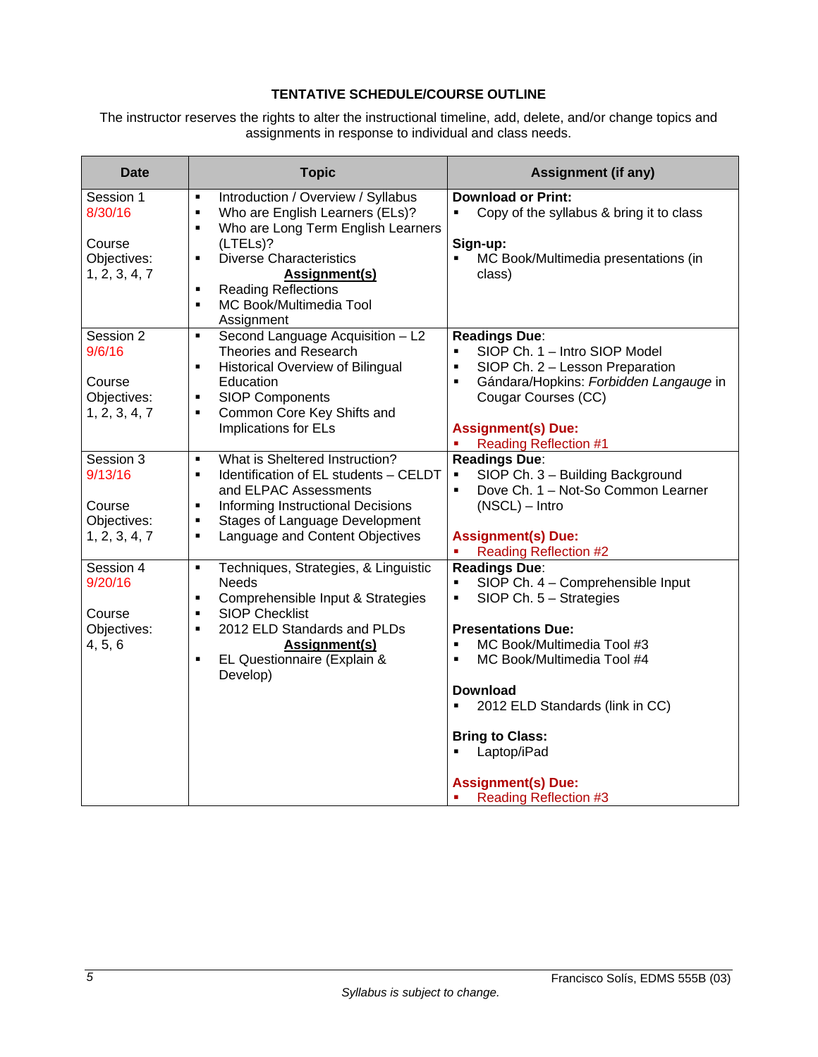## **TENTATIVE SCHEDULE/COURSE OUTLINE**

The instructor reserves the rights to alter the instructional timeline, add, delete, and/or change topics and assignments in response to individual and class needs.

| <b>Date</b>                                                   | <b>Topic</b>                                                                                                                                                                                                                               | <b>Assignment (if any)</b>                                                                                                                                                                    |
|---------------------------------------------------------------|--------------------------------------------------------------------------------------------------------------------------------------------------------------------------------------------------------------------------------------------|-----------------------------------------------------------------------------------------------------------------------------------------------------------------------------------------------|
| Session 1<br>8/30/16                                          | Introduction / Overview / Syllabus<br>$\blacksquare$<br>Who are English Learners (ELs)?<br>$\blacksquare$<br>Who are Long Term English Learners<br>$\blacksquare$                                                                          | <b>Download or Print:</b><br>Copy of the syllabus & bring it to class                                                                                                                         |
| Course<br>Objectives:<br>1, 2, 3, 4, 7                        | (LTELs)?<br><b>Diverse Characteristics</b><br>$\blacksquare$<br><b>Assignment(s)</b><br><b>Reading Reflections</b><br>$\blacksquare$                                                                                                       | Sign-up:<br>MC Book/Multimedia presentations (in<br>class)                                                                                                                                    |
|                                                               | MC Book/Multimedia Tool<br>$\blacksquare$<br>Assignment                                                                                                                                                                                    |                                                                                                                                                                                               |
| Session 2<br>9/6/16<br>Course<br>Objectives:<br>1, 2, 3, 4, 7 | Second Language Acquisition - L2<br>$\blacksquare$<br>Theories and Research<br>Historical Overview of Bilingual<br>$\blacksquare$<br>Education<br><b>SIOP Components</b><br>$\blacksquare$<br>Common Core Key Shifts and<br>$\blacksquare$ | <b>Readings Due:</b><br>SIOP Ch. 1 - Intro SIOP Model<br>$\blacksquare$<br>SIOP Ch. 2 - Lesson Preparation<br>Gándara/Hopkins: Forbidden Langauge in<br>$\blacksquare$<br>Cougar Courses (CC) |
|                                                               | Implications for ELs                                                                                                                                                                                                                       | <b>Assignment(s) Due:</b><br><b>Reading Reflection #1</b>                                                                                                                                     |
| Session 3<br>9/13/16                                          | What is Sheltered Instruction?<br>$\blacksquare$<br>Identification of EL students - CELDT<br>$\blacksquare$<br>and ELPAC Assessments                                                                                                       | <b>Readings Due:</b><br>SIOP Ch. 3 - Building Background<br>$\blacksquare$<br>Dove Ch. 1 - Not-So Common Learner<br>$\blacksquare$                                                            |
| Course<br>Objectives:<br>1, 2, 3, 4, 7                        | Informing Instructional Decisions<br>$\blacksquare$<br><b>Stages of Language Development</b><br>$\blacksquare$<br>Language and Content Objectives<br>$\blacksquare$                                                                        | $(NSCL) - Intro$<br><b>Assignment(s) Due:</b><br><b>Reading Reflection #2</b>                                                                                                                 |
| Session 4<br>9/20/16<br>Course                                | Techniques, Strategies, & Linguistic<br>$\blacksquare$<br><b>Needs</b><br>Comprehensible Input & Strategies<br>$\blacksquare$<br><b>SIOP Checklist</b><br>$\blacksquare$                                                                   | <b>Readings Due:</b><br>SIOP Ch. 4 - Comprehensible Input<br>$\blacksquare$<br>$SIOP Ch. 5 - Strategies$<br>$\blacksquare$                                                                    |
| Objectives:<br>4, 5, 6                                        | 2012 ELD Standards and PLDs<br>$\blacksquare$<br><b>Assignment(s)</b><br>EL Questionnaire (Explain &<br>$\blacksquare$<br>Develop)                                                                                                         | <b>Presentations Due:</b><br>MC Book/Multimedia Tool #3<br>$\blacksquare$<br>MC Book/Multimedia Tool #4<br>Ξ                                                                                  |
|                                                               |                                                                                                                                                                                                                                            | <b>Download</b><br>2012 ELD Standards (link in CC)                                                                                                                                            |
|                                                               |                                                                                                                                                                                                                                            | <b>Bring to Class:</b><br>Laptop/iPad                                                                                                                                                         |
|                                                               |                                                                                                                                                                                                                                            | <b>Assignment(s) Due:</b><br><b>Reading Reflection #3</b><br>×,                                                                                                                               |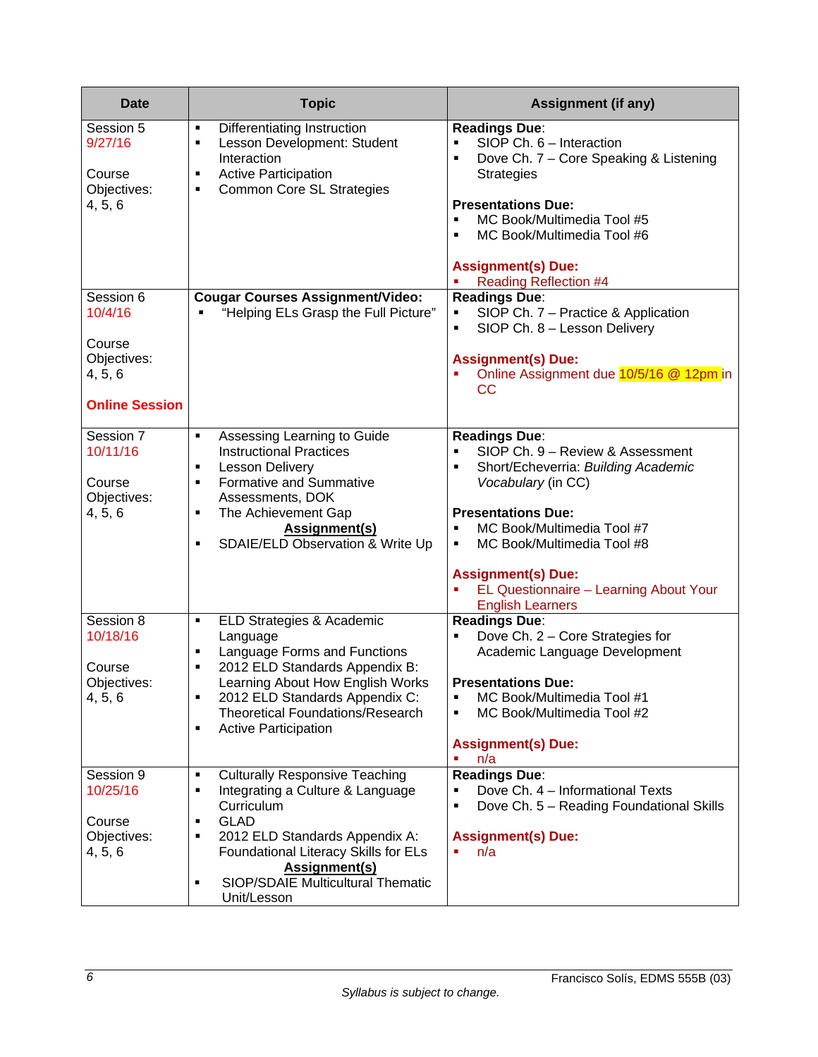| <b>Date</b>                                                                       | <b>Topic</b>                                                                                                                                                                                                                                                                                                            | <b>Assignment (if any)</b>                                                                                                                                                                                                                                                                                                                                |
|-----------------------------------------------------------------------------------|-------------------------------------------------------------------------------------------------------------------------------------------------------------------------------------------------------------------------------------------------------------------------------------------------------------------------|-----------------------------------------------------------------------------------------------------------------------------------------------------------------------------------------------------------------------------------------------------------------------------------------------------------------------------------------------------------|
| Session 5<br>9/27/16<br>Course<br>Objectives:<br>4, 5, 6                          | Differentiating Instruction<br>$\blacksquare$<br>Lesson Development: Student<br>$\blacksquare$<br>Interaction<br><b>Active Participation</b><br>٠<br><b>Common Core SL Strategies</b><br>٠                                                                                                                              | <b>Readings Due:</b><br>SIOP Ch. 6 - Interaction<br>$\blacksquare$<br>Dove Ch. 7 - Core Speaking & Listening<br>F<br><b>Strategies</b><br><b>Presentations Due:</b><br>MC Book/Multimedia Tool #5<br>MC Book/Multimedia Tool #6<br>п<br><b>Assignment(s) Due:</b>                                                                                         |
| Session 6<br>10/4/16<br>Course<br>Objectives:<br>4, 5, 6<br><b>Online Session</b> | <b>Cougar Courses Assignment/Video:</b><br>"Helping ELs Grasp the Full Picture"                                                                                                                                                                                                                                         | <b>Reading Reflection #4</b><br><b>Readings Due:</b><br>SIOP Ch. 7 - Practice & Application<br>П<br>SIOP Ch. 8 - Lesson Delivery<br>$\blacksquare$<br><b>Assignment(s) Due:</b><br>Online Assignment due 10/5/16 @ 12pm in<br>CC                                                                                                                          |
| Session 7<br>10/11/16<br>Course<br>Objectives:<br>4, 5, 6                         | Assessing Learning to Guide<br>$\blacksquare$<br><b>Instructional Practices</b><br><b>Lesson Delivery</b><br>$\blacksquare$<br>Formative and Summative<br>$\blacksquare$<br>Assessments, DOK<br>The Achievement Gap<br>$\blacksquare$<br><b>Assignment(s)</b><br>SDAIE/ELD Observation & Write Up<br>$\blacksquare$     | <b>Readings Due:</b><br>SIOP Ch. 9 - Review & Assessment<br>Short/Echeverria: Building Academic<br>$\blacksquare$<br>Vocabulary (in CC)<br><b>Presentations Due:</b><br>MC Book/Multimedia Tool #7<br>$\blacksquare$<br>MC Book/Multimedia Tool #8<br>٠<br><b>Assignment(s) Due:</b><br>EL Questionnaire - Learning About Your<br><b>English Learners</b> |
| Session 8<br>10/18/16<br>Course<br>Objectives:<br>4, 5, 6                         | ELD Strategies & Academic<br>٠<br>Language<br>Language Forms and Functions<br>$\blacksquare$<br>2012 ELD Standards Appendix B:<br>$\blacksquare$<br>Learning About How English Works<br>2012 ELD Standards Appendix C:<br>٠<br><b>Theoretical Foundations/Research</b><br><b>Active Participation</b><br>$\blacksquare$ | <b>Readings Due:</b><br>Dove Ch. 2 - Core Strategies for<br>Academic Language Development<br><b>Presentations Due:</b><br>MC Book/Multimedia Tool #1<br>$\blacksquare$<br>MC Book/Multimedia Tool #2<br>$\blacksquare$<br><b>Assignment(s) Due:</b><br>n/a                                                                                                |
| Session 9<br>10/25/16<br>Course<br>Objectives:<br>4, 5, 6                         | <b>Culturally Responsive Teaching</b><br>п<br>Integrating a Culture & Language<br>٠<br>Curriculum<br><b>GLAD</b><br>٠<br>2012 ELD Standards Appendix A:<br>٠<br>Foundational Literacy Skills for ELs<br><b>Assignment(s)</b><br>SIOP/SDAIE Multicultural Thematic<br>$\blacksquare$<br>Unit/Lesson                      | <b>Readings Due:</b><br>Dove Ch. 4 - Informational Texts<br>Dove Ch. 5 - Reading Foundational Skills<br>Е<br><b>Assignment(s) Due:</b><br>n/a                                                                                                                                                                                                             |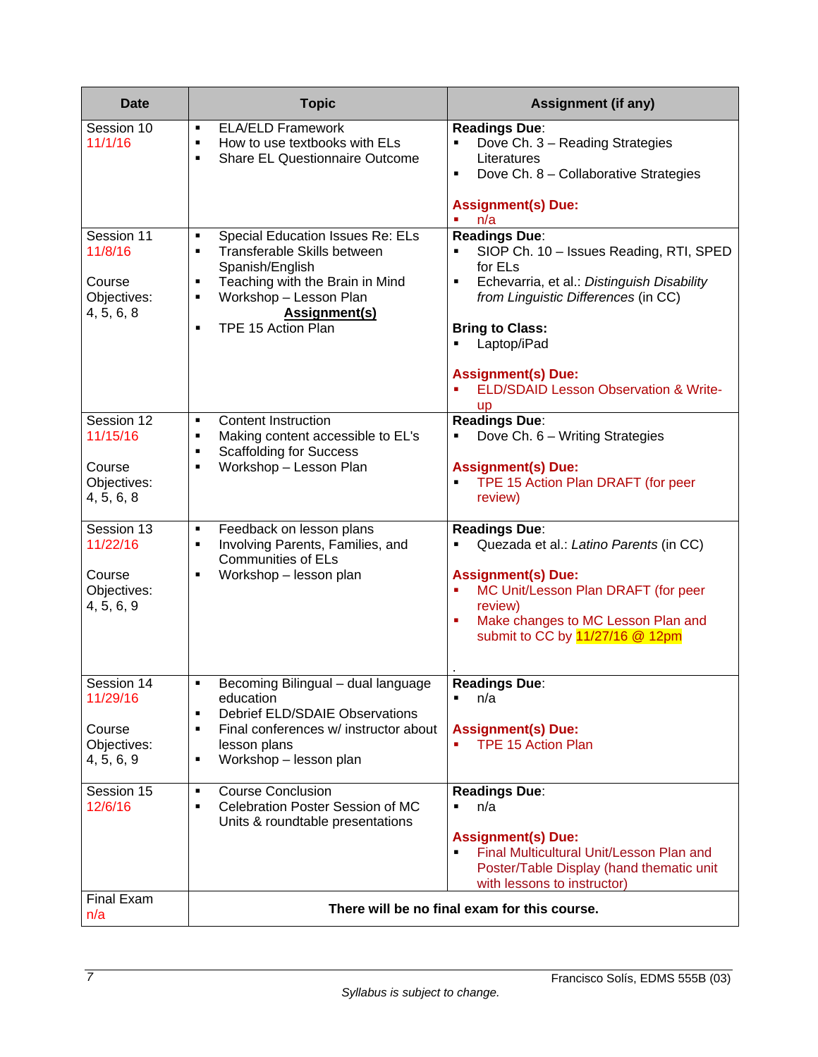| <b>Date</b>                                                   | <b>Topic</b>                                                                                                                                                                                                                                                                            | <b>Assignment (if any)</b>                                                                                                                                                                                                                                                                              |
|---------------------------------------------------------------|-----------------------------------------------------------------------------------------------------------------------------------------------------------------------------------------------------------------------------------------------------------------------------------------|---------------------------------------------------------------------------------------------------------------------------------------------------------------------------------------------------------------------------------------------------------------------------------------------------------|
| Session 10<br>11/1/16                                         | <b>ELA/ELD Framework</b><br>٠<br>How to use textbooks with ELs<br>$\blacksquare$<br><b>Share EL Questionnaire Outcome</b><br>$\blacksquare$                                                                                                                                             | <b>Readings Due:</b><br>Dove Ch. 3 - Reading Strategies<br>Literatures<br>Dove Ch. 8 - Collaborative Strategies<br>٠<br><b>Assignment(s) Due:</b>                                                                                                                                                       |
| Session 11<br>11/8/16<br>Course<br>Objectives:<br>4, 5, 6, 8  | Special Education Issues Re: ELs<br>$\blacksquare$<br>Transferable Skills between<br>$\blacksquare$<br>Spanish/English<br>Teaching with the Brain in Mind<br>$\blacksquare$<br>Workshop - Lesson Plan<br>$\blacksquare$<br><b>Assignment(s)</b><br>TPE 15 Action Plan<br>$\blacksquare$ | n/a<br><b>Readings Due:</b><br>SIOP Ch. 10 - Issues Reading, RTI, SPED<br>for ELs<br>Echevarria, et al.: Distinguish Disability<br>٠<br>from Linguistic Differences (in CC)<br><b>Bring to Class:</b><br>Laptop/iPad<br><b>Assignment(s) Due:</b><br>ELD/SDAID Lesson Observation & Write-<br><b>up</b> |
| Session 12<br>11/15/16<br>Course<br>Objectives:<br>4, 5, 6, 8 | <b>Content Instruction</b><br>$\blacksquare$<br>Making content accessible to EL's<br>$\blacksquare$<br><b>Scaffolding for Success</b><br>$\blacksquare$<br>Workshop - Lesson Plan<br>$\blacksquare$                                                                                     | <b>Readings Due:</b><br>Dove Ch. 6 - Writing Strategies<br>٠<br><b>Assignment(s) Due:</b><br>TPE 15 Action Plan DRAFT (for peer<br>$\blacksquare$<br>review)                                                                                                                                            |
| Session 13<br>11/22/16<br>Course<br>Objectives:<br>4, 5, 6, 9 | Feedback on lesson plans<br>$\blacksquare$<br>Involving Parents, Families, and<br>П<br><b>Communities of ELs</b><br>Workshop - lesson plan<br>$\blacksquare$                                                                                                                            | <b>Readings Due:</b><br>Quezada et al.: Latino Parents (in CC)<br><b>Assignment(s) Due:</b><br>MC Unit/Lesson Plan DRAFT (for peer<br>review)<br>Make changes to MC Lesson Plan and<br>×<br>submit to CC by 11/27/16 @ 12pm                                                                             |
| Session 14<br>11/29/16<br>Course<br>Objectives:<br>4, 5, 6, 9 | Becoming Bilingual - dual language<br>٠<br>education<br><b>Debrief ELD/SDAIE Observations</b><br>$\blacksquare$<br>Final conferences w/ instructor about<br>٠<br>lesson plans<br>Workshop - lesson plan<br>٠                                                                            | Readings Due:<br>n/a<br>$\blacksquare$<br><b>Assignment(s) Due:</b><br><b>TPE 15 Action Plan</b>                                                                                                                                                                                                        |
| Session 15<br>12/6/16                                         | <b>Course Conclusion</b><br>$\blacksquare$<br>Celebration Poster Session of MC<br>$\blacksquare$<br>Units & roundtable presentations                                                                                                                                                    | <b>Readings Due:</b><br>n/a<br><b>Assignment(s) Due:</b><br>Final Multicultural Unit/Lesson Plan and<br>Poster/Table Display (hand thematic unit<br>with lessons to instructor)                                                                                                                         |
| <b>Final Exam</b><br>n/a                                      |                                                                                                                                                                                                                                                                                         | There will be no final exam for this course.                                                                                                                                                                                                                                                            |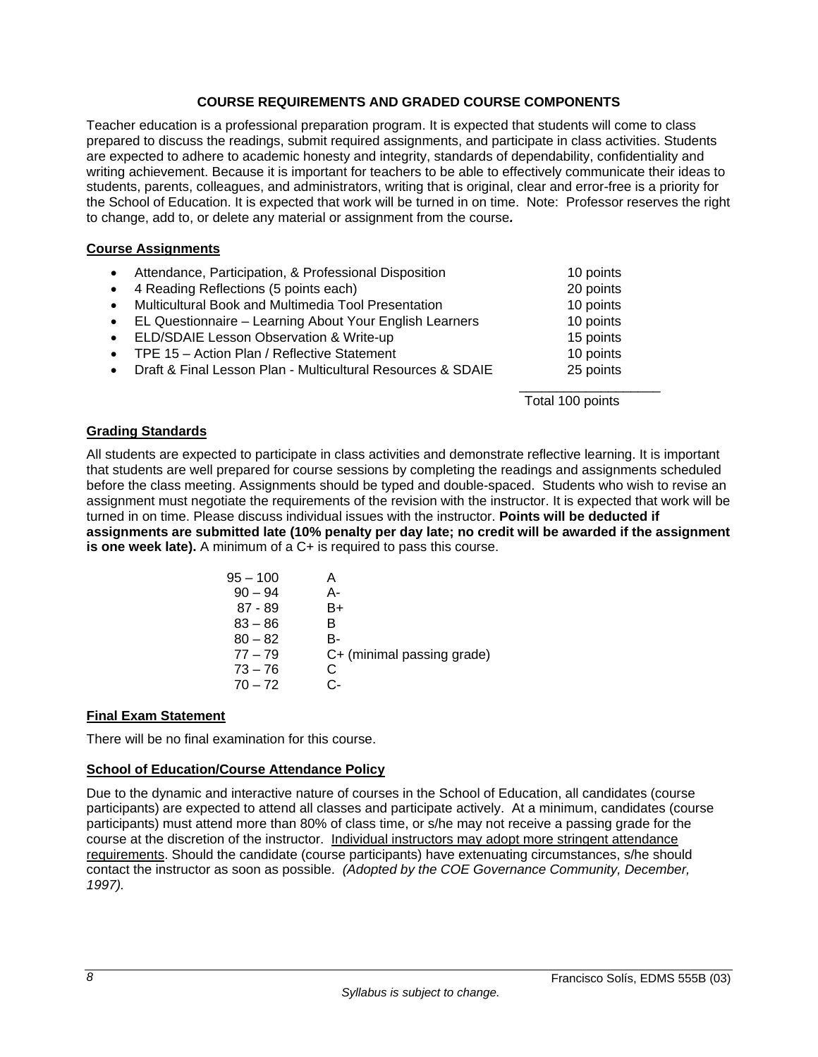## **COURSE REQUIREMENTS AND GRADED COURSE COMPONENTS**

Teacher education is a professional preparation program. It is expected that students will come to class prepared to discuss the readings, submit required assignments, and participate in class activities. Students are expected to adhere to academic honesty and integrity, standards of dependability, confidentiality and writing achievement. Because it is important for teachers to be able to effectively communicate their ideas to students, parents, colleagues, and administrators, writing that is original, clear and error-free is a priority for the School of Education. It is expected that work will be turned in on time. Note: Professor reserves the right to change, add to, or delete any material or assignment from the course*.* 

### **Course Assignments**

| • Attendance, Participation, & Professional Disposition                  | 10 points        |
|--------------------------------------------------------------------------|------------------|
| • 4 Reading Reflections (5 points each)                                  | 20 points        |
| Multicultural Book and Multimedia Tool Presentation<br>$\bullet$         | 10 points        |
| EL Questionnaire - Learning About Your English Learners<br>$\bullet$     | 10 points        |
| • ELD/SDAIE Lesson Observation & Write-up                                | 15 points        |
| • TPE 15 - Action Plan / Reflective Statement                            | 10 points        |
| Draft & Final Lesson Plan - Multicultural Resources & SDAIE<br>$\bullet$ | 25 points        |
|                                                                          |                  |
|                                                                          | Total 100 points |

#### **Grading Standards**

All students are expected to participate in class activities and demonstrate reflective learning. It is important that students are well prepared for course sessions by completing the readings and assignments scheduled before the class meeting. Assignments should be typed and double-spaced. Students who wish to revise an assignment must negotiate the requirements of the revision with the instructor. It is expected that work will be turned in on time. Please discuss individual issues with the instructor. **Points will be deducted if assignments are submitted late (10% penalty per day late; no credit will be awarded if the assignment is one week late).** A minimum of a C+ is required to pass this course.

| $95 - 100$ |                            |
|------------|----------------------------|
| $90 - 94$  | А-                         |
| $87 - 89$  | B+                         |
| $83 - 86$  | в                          |
| $80 - 82$  | B-                         |
| $77 - 79$  | C+ (minimal passing grade) |
| $73 - 76$  | C                          |
| $70 - 72$  | င-                         |
|            |                            |

### **Final Exam Statement**

There will be no final examination for this course.

### **School of Education/Course Attendance Policy**

Due to the dynamic and interactive nature of courses in the School of Education, all candidates (course participants) are expected to attend all classes and participate actively. At a minimum, candidates (course participants) must attend more than 80% of class time, or s/he may not receive a passing grade for the course at the discretion of the instructor. Individual instructors may adopt more stringent attendance requirements. Should the candidate (course participants) have extenuating circumstances, s/he should contact the instructor as soon as possible. *(Adopted by the COE Governance Community, December, 1997).*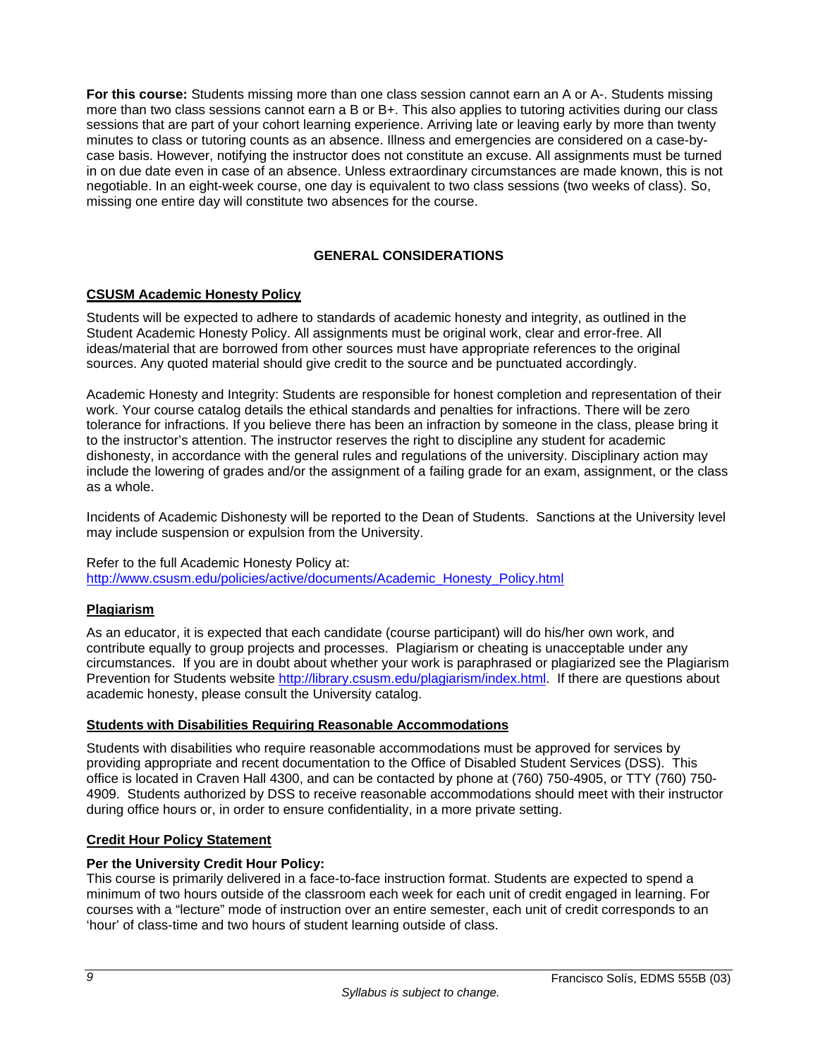**For this course:** Students missing more than one class session cannot earn an A or A-. Students missing more than two class sessions cannot earn a B or B+. This also applies to tutoring activities during our class sessions that are part of your cohort learning experience. Arriving late or leaving early by more than twenty minutes to class or tutoring counts as an absence. Illness and emergencies are considered on a case-bycase basis. However, notifying the instructor does not constitute an excuse. All assignments must be turned in on due date even in case of an absence. Unless extraordinary circumstances are made known, this is not negotiable. In an eight-week course, one day is equivalent to two class sessions (two weeks of class). So, missing one entire day will constitute two absences for the course.

## **GENERAL CONSIDERATIONS**

### **CSUSM Academic Honesty Policy**

Students will be expected to adhere to standards of academic honesty and integrity, as outlined in the Student Academic Honesty Policy. All assignments must be original work, clear and error-free. All ideas/material that are borrowed from other sources must have appropriate references to the original sources. Any quoted material should give credit to the source and be punctuated accordingly.

Academic Honesty and Integrity: Students are responsible for honest completion and representation of their work. Your course catalog details the ethical standards and penalties for infractions. There will be zero tolerance for infractions. If you believe there has been an infraction by someone in the class, please bring it to the instructor's attention. The instructor reserves the right to discipline any student for academic dishonesty, in accordance with the general rules and regulations of the university. Disciplinary action may include the lowering of grades and/or the assignment of a failing grade for an exam, assignment, or the class as a whole.

Incidents of Academic Dishonesty will be reported to the Dean of Students. Sanctions at the University level may include suspension or expulsion from the University.

#### Refer to the full Academic Honesty Policy at:

http://www.csusm.edu/policies/active/documents/Academic\_Honesty\_Policy.html

#### **Plagiarism**

As an educator, it is expected that each candidate (course participant) will do his/her own work, and contribute equally to group projects and processes. Plagiarism or cheating is unacceptable under any circumstances. If you are in doubt about whether your work is paraphrased or plagiarized see the Plagiarism Prevention for Students website http://library.csusm.edu/plagiarism/index.html. If there are questions about academic honesty, please consult the University catalog.

#### **Students with Disabilities Requiring Reasonable Accommodations**

Students with disabilities who require reasonable accommodations must be approved for services by providing appropriate and recent documentation to the Office of Disabled Student Services (DSS). This office is located in Craven Hall 4300, and can be contacted by phone at (760) 750-4905, or TTY (760) 750- 4909. Students authorized by DSS to receive reasonable accommodations should meet with their instructor during office hours or, in order to ensure confidentiality, in a more private setting.

#### **Credit Hour Policy Statement**

#### **Per the University Credit Hour Policy:**

This course is primarily delivered in a face-to-face instruction format. Students are expected to spend a minimum of two hours outside of the classroom each week for each unit of credit engaged in learning. For courses with a "lecture" mode of instruction over an entire semester, each unit of credit corresponds to an 'hour' of class-time and two hours of student learning outside of class.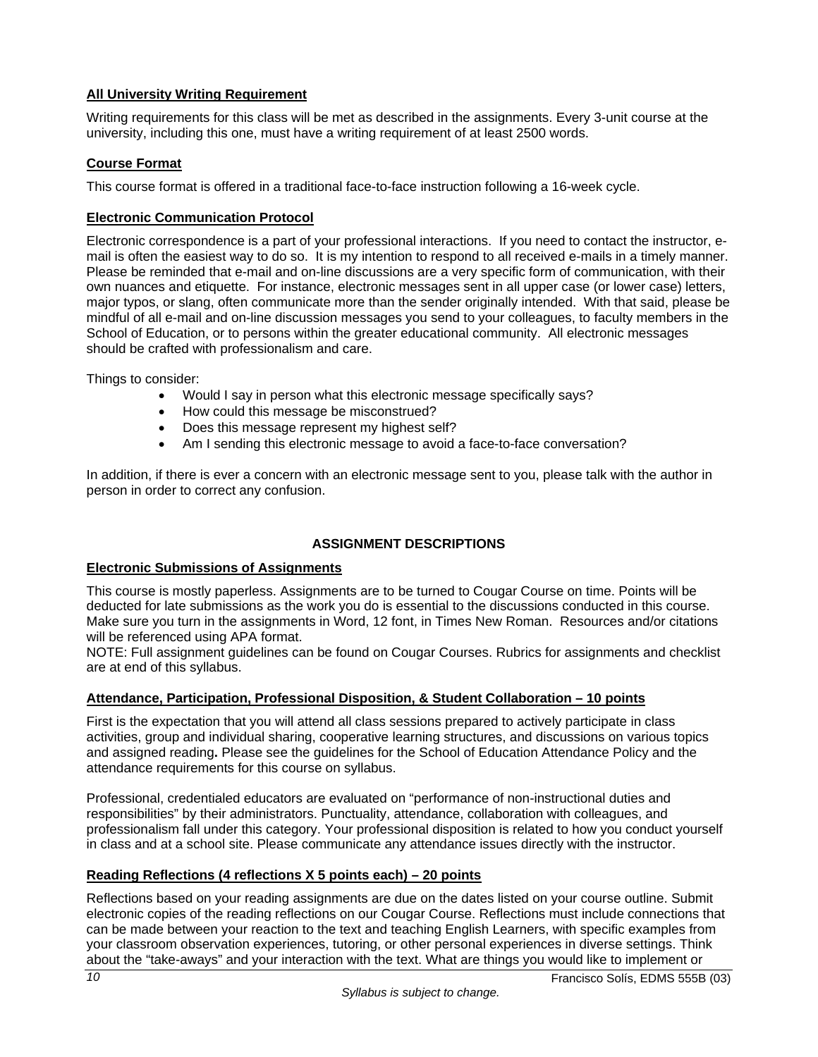## **All University Writing Requirement**

Writing requirements for this class will be met as described in the assignments. Every 3-unit course at the university, including this one, must have a writing requirement of at least 2500 words.

## **Course Format**

This course format is offered in a traditional face-to-face instruction following a 16-week cycle.

## **Electronic Communication Protocol**

Electronic correspondence is a part of your professional interactions. If you need to contact the instructor, email is often the easiest way to do so. It is my intention to respond to all received e-mails in a timely manner. Please be reminded that e-mail and on-line discussions are a very specific form of communication, with their own nuances and etiquette. For instance, electronic messages sent in all upper case (or lower case) letters, major typos, or slang, often communicate more than the sender originally intended. With that said, please be mindful of all e-mail and on-line discussion messages you send to your colleagues, to faculty members in the School of Education, or to persons within the greater educational community. All electronic messages should be crafted with professionalism and care.

Things to consider:

- Would I say in person what this electronic message specifically says?
- How could this message be misconstrued?
- Does this message represent my highest self?
- Am I sending this electronic message to avoid a face-to-face conversation?

In addition, if there is ever a concern with an electronic message sent to you, please talk with the author in person in order to correct any confusion.

## **ASSIGNMENT DESCRIPTIONS**

### **Electronic Submissions of Assignments**

This course is mostly paperless. Assignments are to be turned to Cougar Course on time. Points will be deducted for late submissions as the work you do is essential to the discussions conducted in this course. Make sure you turn in the assignments in Word, 12 font, in Times New Roman. Resources and/or citations will be referenced using APA format.

NOTE: Full assignment guidelines can be found on Cougar Courses. Rubrics for assignments and checklist are at end of this syllabus.

### **Attendance, Participation, Professional Disposition, & Student Collaboration – 10 points**

First is the expectation that you will attend all class sessions prepared to actively participate in class activities, group and individual sharing, cooperative learning structures, and discussions on various topics and assigned reading**.** Please see the guidelines for the School of Education Attendance Policy and the attendance requirements for this course on syllabus.

Professional, credentialed educators are evaluated on "performance of non-instructional duties and responsibilities" by their administrators. Punctuality, attendance, collaboration with colleagues, and professionalism fall under this category. Your professional disposition is related to how you conduct yourself in class and at a school site. Please communicate any attendance issues directly with the instructor.

### **Reading Reflections (4 reflections X 5 points each) – 20 points**

Reflections based on your reading assignments are due on the dates listed on your course outline. Submit electronic copies of the reading reflections on our Cougar Course. Reflections must include connections that can be made between your reaction to the text and teaching English Learners, with specific examples from your classroom observation experiences, tutoring, or other personal experiences in diverse settings. Think about the "take-aways" and your interaction with the text. What are things you would like to implement or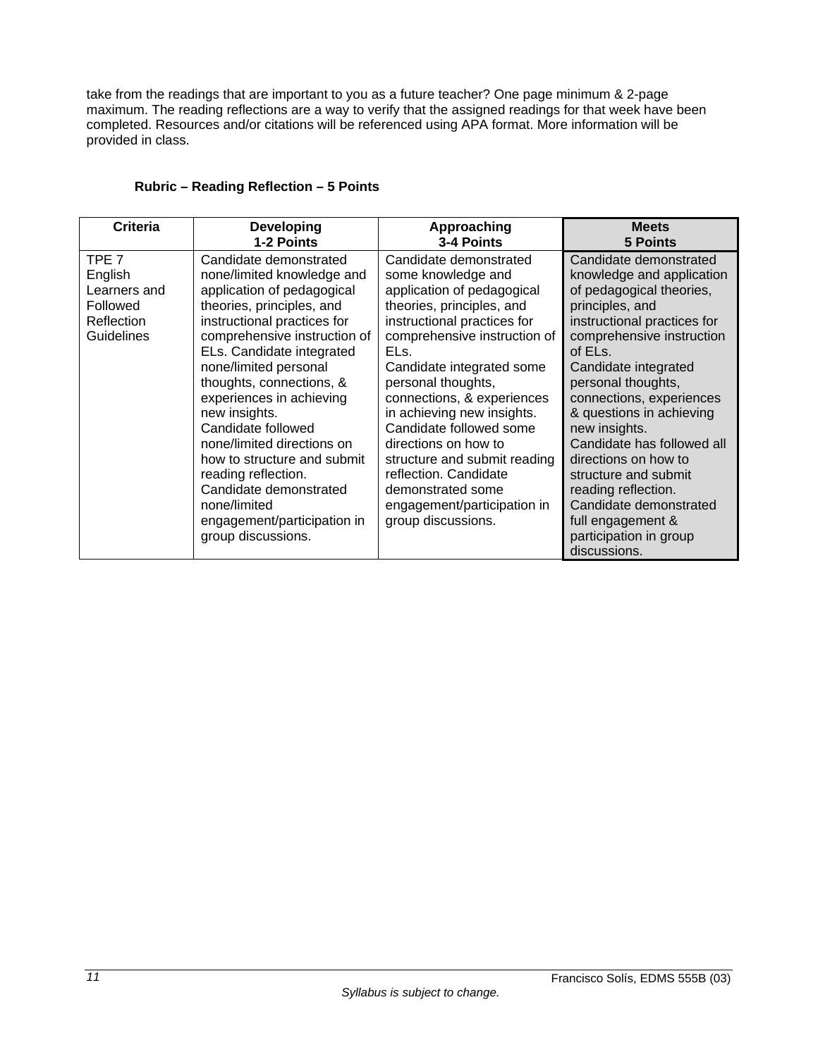take from the readings that are important to you as a future teacher? One page minimum & 2-page maximum. The reading reflections are a way to verify that the assigned readings for that week have been completed. Resources and/or citations will be referenced using APA format. More information will be provided in class.

| Criteria                                                                            | <b>Developing</b>                                                                                                                                                                                                                                                                                                                                                                                                                                                                                                      | Approaching                                                                                                                                                                                                                                                                                                                                                                                                                                                                                     | <b>Meets</b>                                                                                                                                                                                                                                                                                                                                                                                                                                                                                   |
|-------------------------------------------------------------------------------------|------------------------------------------------------------------------------------------------------------------------------------------------------------------------------------------------------------------------------------------------------------------------------------------------------------------------------------------------------------------------------------------------------------------------------------------------------------------------------------------------------------------------|-------------------------------------------------------------------------------------------------------------------------------------------------------------------------------------------------------------------------------------------------------------------------------------------------------------------------------------------------------------------------------------------------------------------------------------------------------------------------------------------------|------------------------------------------------------------------------------------------------------------------------------------------------------------------------------------------------------------------------------------------------------------------------------------------------------------------------------------------------------------------------------------------------------------------------------------------------------------------------------------------------|
|                                                                                     | 1-2 Points                                                                                                                                                                                                                                                                                                                                                                                                                                                                                                             | 3-4 Points                                                                                                                                                                                                                                                                                                                                                                                                                                                                                      | <b>5 Points</b>                                                                                                                                                                                                                                                                                                                                                                                                                                                                                |
| TPE <sub>7</sub><br>English<br>Learners and<br>Followed<br>Reflection<br>Guidelines | Candidate demonstrated<br>none/limited knowledge and<br>application of pedagogical<br>theories, principles, and<br>instructional practices for<br>comprehensive instruction of<br>ELs. Candidate integrated<br>none/limited personal<br>thoughts, connections, &<br>experiences in achieving<br>new insights.<br>Candidate followed<br>none/limited directions on<br>how to structure and submit<br>reading reflection.<br>Candidate demonstrated<br>none/limited<br>engagement/participation in<br>group discussions. | Candidate demonstrated<br>some knowledge and<br>application of pedagogical<br>theories, principles, and<br>instructional practices for<br>comprehensive instruction of<br>EL <sub>s.</sub><br>Candidate integrated some<br>personal thoughts,<br>connections, & experiences<br>in achieving new insights.<br>Candidate followed some<br>directions on how to<br>structure and submit reading<br>reflection. Candidate<br>demonstrated some<br>engagement/participation in<br>group discussions. | Candidate demonstrated<br>knowledge and application<br>of pedagogical theories,<br>principles, and<br>instructional practices for<br>comprehensive instruction<br>of ELs.<br>Candidate integrated<br>personal thoughts,<br>connections, experiences<br>& questions in achieving<br>new insights.<br>Candidate has followed all<br>directions on how to<br>structure and submit<br>reading reflection.<br>Candidate demonstrated<br>full engagement &<br>participation in group<br>discussions. |

### **Rubric – Reading Reflection – 5 Points**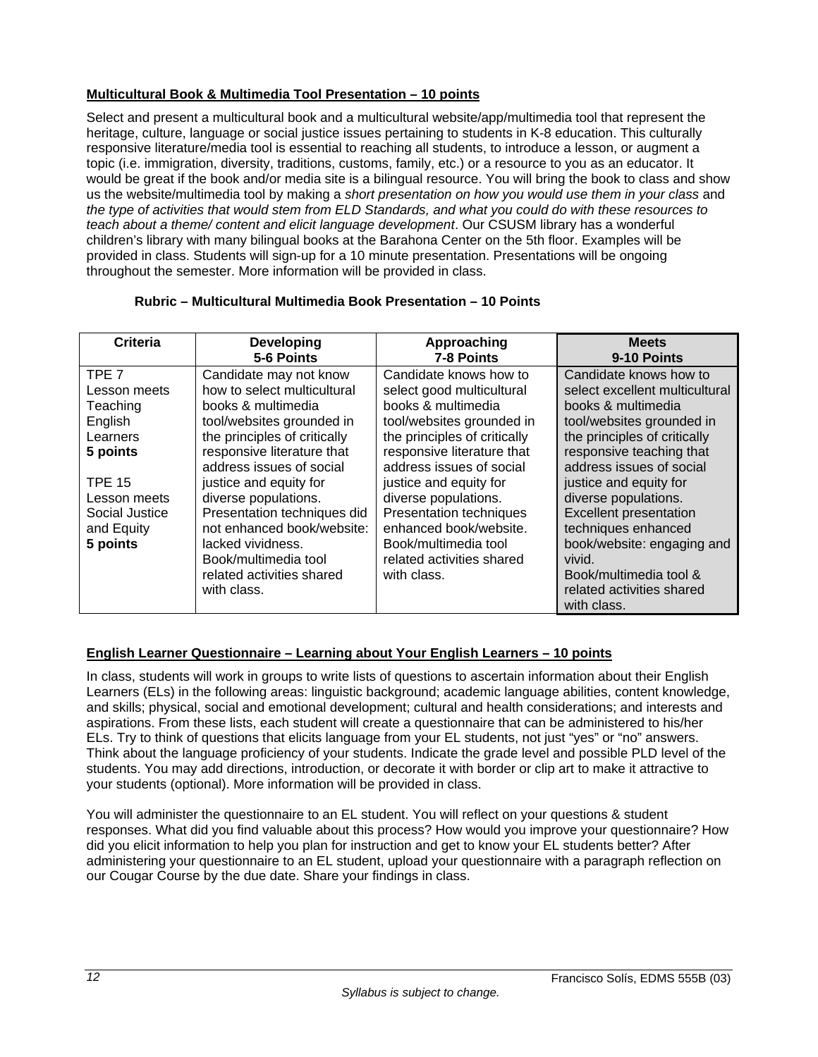## **Multicultural Book & Multimedia Tool Presentation – 10 points**

Select and present a multicultural book and a multicultural website/app/multimedia tool that represent the heritage, culture, language or social justice issues pertaining to students in K-8 education. This culturally responsive literature/media tool is essential to reaching all students, to introduce a lesson, or augment a topic (i.e. immigration, diversity, traditions, customs, family, etc.) or a resource to you as an educator. It would be great if the book and/or media site is a bilingual resource. You will bring the book to class and show us the website/multimedia tool by making a *short presentation on how you would use them in your class* and *the type of activities that would stem from ELD Standards, and what you could do with these resources to teach about a theme/ content and elicit language development*. Our CSUSM library has a wonderful children's library with many bilingual books at the Barahona Center on the 5th floor. Examples will be provided in class. Students will sign-up for a 10 minute presentation. Presentations will be ongoing throughout the semester. More information will be provided in class.

## **Rubric – Multicultural Multimedia Book Presentation – 10 Points**

| Criteria                                                                  | <b>Developing</b><br>5-6 Points                                                                                                                                                                      | Approaching<br>7-8 Points                                                                                                                                                                        | <b>Meets</b><br>9-10 Points                                                                                                                                                                                          |
|---------------------------------------------------------------------------|------------------------------------------------------------------------------------------------------------------------------------------------------------------------------------------------------|--------------------------------------------------------------------------------------------------------------------------------------------------------------------------------------------------|----------------------------------------------------------------------------------------------------------------------------------------------------------------------------------------------------------------------|
| TPE 7<br>Lesson meets<br>Teaching<br>English<br>Learners<br>5 points      | Candidate may not know<br>how to select multicultural<br>books & multimedia<br>tool/websites grounded in<br>the principles of critically<br>responsive literature that<br>address issues of social   | Candidate knows how to<br>select good multicultural<br>books & multimedia<br>tool/websites grounded in<br>the principles of critically<br>responsive literature that<br>address issues of social | Candidate knows how to<br>select excellent multicultural<br>books & multimedia<br>tool/websites grounded in<br>the principles of critically<br>responsive teaching that<br>address issues of social                  |
| <b>TPE 15</b><br>Lesson meets<br>Social Justice<br>and Equity<br>5 points | justice and equity for<br>diverse populations.<br>Presentation techniques did<br>not enhanced book/website:<br>lacked vividness.<br>Book/multimedia tool<br>related activities shared<br>with class. | justice and equity for<br>diverse populations.<br><b>Presentation techniques</b><br>enhanced book/website.<br>Book/multimedia tool<br>related activities shared<br>with class.                   | justice and equity for<br>diverse populations.<br><b>Excellent presentation</b><br>techniques enhanced<br>book/website: engaging and<br>vivid.<br>Book/multimedia tool &<br>related activities shared<br>with class. |

## **English Learner Questionnaire – Learning about Your English Learners – 10 points**

In class, students will work in groups to write lists of questions to ascertain information about their English Learners (ELs) in the following areas: linguistic background; academic language abilities, content knowledge, and skills; physical, social and emotional development; cultural and health considerations; and interests and aspirations. From these lists, each student will create a questionnaire that can be administered to his/her ELs. Try to think of questions that elicits language from your EL students, not just "yes" or "no" answers. Think about the language proficiency of your students. Indicate the grade level and possible PLD level of the students. You may add directions, introduction, or decorate it with border or clip art to make it attractive to your students (optional). More information will be provided in class.

You will administer the questionnaire to an EL student. You will reflect on your questions & student responses. What did you find valuable about this process? How would you improve your questionnaire? How did you elicit information to help you plan for instruction and get to know your EL students better? After administering your questionnaire to an EL student, upload your questionnaire with a paragraph reflection on our Cougar Course by the due date. Share your findings in class.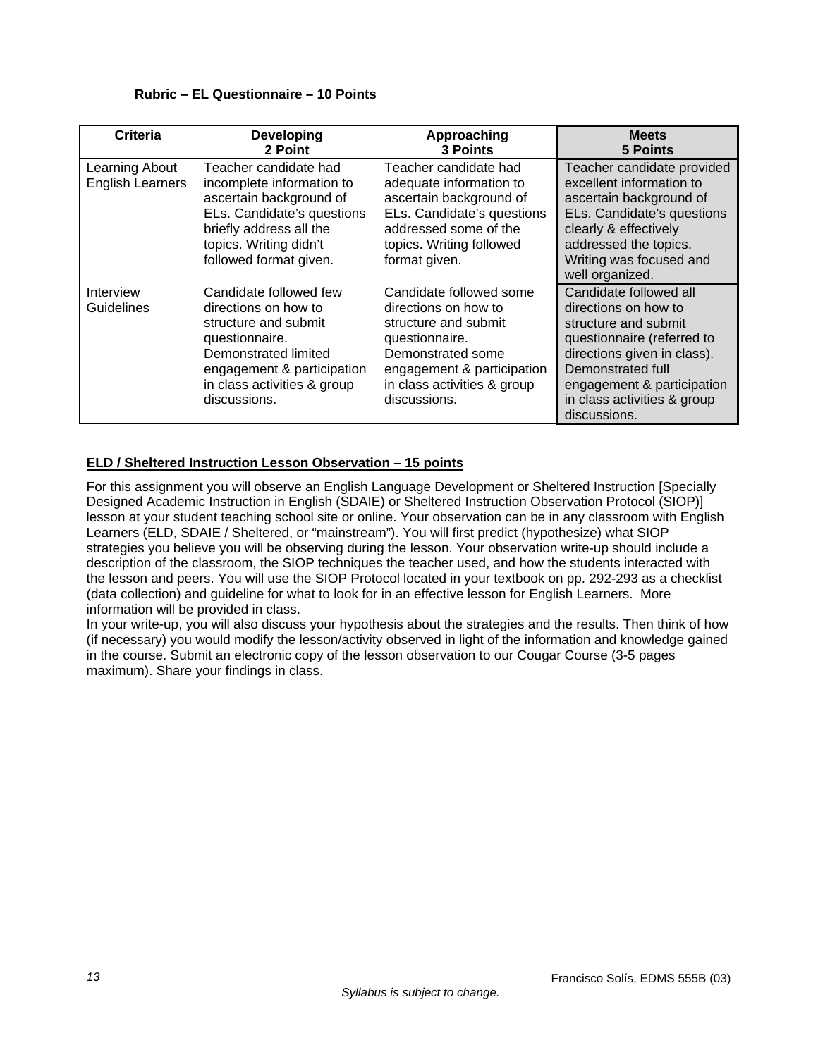### **Rubric – EL Questionnaire – 10 Points**

| Criteria                                  | <b>Developing</b><br>2 Point                                                                                                                                                                  | Approaching<br><b>3 Points</b>                                                                                                                                                              | <b>Meets</b><br><b>5 Points</b>                                                                                                                                                                                                       |
|-------------------------------------------|-----------------------------------------------------------------------------------------------------------------------------------------------------------------------------------------------|---------------------------------------------------------------------------------------------------------------------------------------------------------------------------------------------|---------------------------------------------------------------------------------------------------------------------------------------------------------------------------------------------------------------------------------------|
| Learning About<br><b>English Learners</b> | Teacher candidate had<br>incomplete information to<br>ascertain background of<br>ELs. Candidate's questions<br>briefly address all the<br>topics. Writing didn't<br>followed format given.    | Teacher candidate had<br>adequate information to<br>ascertain background of<br>ELs. Candidate's questions<br>addressed some of the<br>topics. Writing followed<br>format given.             | Teacher candidate provided<br>excellent information to<br>ascertain background of<br>ELs. Candidate's questions<br>clearly & effectively<br>addressed the topics.<br>Writing was focused and<br>well organized.                       |
| Interview<br><b>Guidelines</b>            | Candidate followed few<br>directions on how to<br>structure and submit<br>questionnaire.<br>Demonstrated limited<br>engagement & participation<br>in class activities & group<br>discussions. | Candidate followed some<br>directions on how to<br>structure and submit<br>questionnaire.<br>Demonstrated some<br>engagement & participation<br>in class activities & group<br>discussions. | Candidate followed all<br>directions on how to<br>structure and submit<br>questionnaire (referred to<br>directions given in class).<br>Demonstrated full<br>engagement & participation<br>in class activities & group<br>discussions. |

## **ELD / Sheltered Instruction Lesson Observation – 15 points**

For this assignment you will observe an English Language Development or Sheltered Instruction [Specially Designed Academic Instruction in English (SDAIE) or Sheltered Instruction Observation Protocol (SIOP)] lesson at your student teaching school site or online. Your observation can be in any classroom with English Learners (ELD, SDAIE / Sheltered, or "mainstream"). You will first predict (hypothesize) what SIOP strategies you believe you will be observing during the lesson. Your observation write-up should include a description of the classroom, the SIOP techniques the teacher used, and how the students interacted with the lesson and peers. You will use the SIOP Protocol located in your textbook on pp. 292-293 as a checklist (data collection) and guideline for what to look for in an effective lesson for English Learners. More information will be provided in class.

In your write-up, you will also discuss your hypothesis about the strategies and the results. Then think of how (if necessary) you would modify the lesson/activity observed in light of the information and knowledge gained in the course. Submit an electronic copy of the lesson observation to our Cougar Course (3-5 pages maximum). Share your findings in class.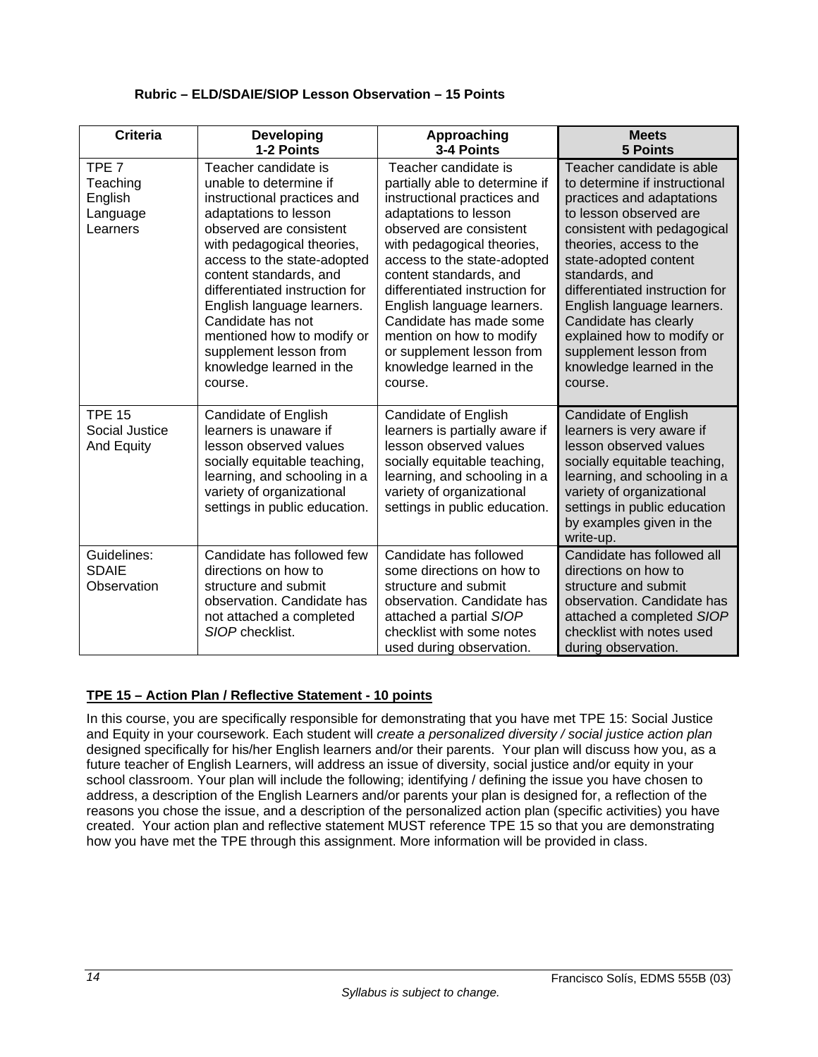| <b>Criteria</b>                                                 | Developing                                                                                                                                                                                                                                                                                                                                                                                                   | Approaching                                                                                                                                                                                                                                                                                                                                                                                                                 | <b>Meets</b>                                                                                                                                                                                                                                                                                                                                                                                                   |
|-----------------------------------------------------------------|--------------------------------------------------------------------------------------------------------------------------------------------------------------------------------------------------------------------------------------------------------------------------------------------------------------------------------------------------------------------------------------------------------------|-----------------------------------------------------------------------------------------------------------------------------------------------------------------------------------------------------------------------------------------------------------------------------------------------------------------------------------------------------------------------------------------------------------------------------|----------------------------------------------------------------------------------------------------------------------------------------------------------------------------------------------------------------------------------------------------------------------------------------------------------------------------------------------------------------------------------------------------------------|
|                                                                 | 1-2 Points                                                                                                                                                                                                                                                                                                                                                                                                   | 3-4 Points                                                                                                                                                                                                                                                                                                                                                                                                                  | <b>5 Points</b>                                                                                                                                                                                                                                                                                                                                                                                                |
| TPE <sub>7</sub><br>Teaching<br>English<br>Language<br>Learners | Teacher candidate is<br>unable to determine if<br>instructional practices and<br>adaptations to lesson<br>observed are consistent<br>with pedagogical theories,<br>access to the state-adopted<br>content standards, and<br>differentiated instruction for<br>English language learners.<br>Candidate has not<br>mentioned how to modify or<br>supplement lesson from<br>knowledge learned in the<br>course. | Teacher candidate is<br>partially able to determine if<br>instructional practices and<br>adaptations to lesson<br>observed are consistent<br>with pedagogical theories,<br>access to the state-adopted<br>content standards, and<br>differentiated instruction for<br>English language learners.<br>Candidate has made some<br>mention on how to modify<br>or supplement lesson from<br>knowledge learned in the<br>course. | Teacher candidate is able<br>to determine if instructional<br>practices and adaptations<br>to lesson observed are<br>consistent with pedagogical<br>theories, access to the<br>state-adopted content<br>standards, and<br>differentiated instruction for<br>English language learners.<br>Candidate has clearly<br>explained how to modify or<br>supplement lesson from<br>knowledge learned in the<br>course. |
| <b>TPE 15</b><br>Social Justice<br>And Equity                   | Candidate of English<br>learners is unaware if<br>lesson observed values<br>socially equitable teaching,<br>learning, and schooling in a<br>variety of organizational<br>settings in public education.                                                                                                                                                                                                       | Candidate of English<br>learners is partially aware if<br>lesson observed values<br>socially equitable teaching,<br>learning, and schooling in a<br>variety of organizational<br>settings in public education.                                                                                                                                                                                                              | <b>Candidate of English</b><br>learners is very aware if<br>lesson observed values<br>socially equitable teaching,<br>learning, and schooling in a<br>variety of organizational<br>settings in public education<br>by examples given in the<br>write-up.                                                                                                                                                       |
| Guidelines:<br><b>SDAIE</b><br>Observation                      | Candidate has followed few<br>directions on how to<br>structure and submit<br>observation. Candidate has<br>not attached a completed<br>SIOP checklist.                                                                                                                                                                                                                                                      | Candidate has followed<br>some directions on how to<br>structure and submit<br>observation. Candidate has<br>attached a partial SIOP<br>checklist with some notes<br>used during observation.                                                                                                                                                                                                                               | Candidate has followed all<br>directions on how to<br>structure and submit<br>observation. Candidate has<br>attached a completed SIOP<br>checklist with notes used<br>during observation.                                                                                                                                                                                                                      |

## **Rubric – ELD/SDAIE/SIOP Lesson Observation – 15 Points**

## **TPE 15 – Action Plan / Reflective Statement - 10 points**

In this course, you are specifically responsible for demonstrating that you have met TPE 15: Social Justice and Equity in your coursework. Each student will *create a personalized diversity / social justice action plan*  designed specifically for his/her English learners and/or their parents. Your plan will discuss how you, as a future teacher of English Learners, will address an issue of diversity, social justice and/or equity in your school classroom. Your plan will include the following; identifying / defining the issue you have chosen to address, a description of the English Learners and/or parents your plan is designed for, a reflection of the reasons you chose the issue, and a description of the personalized action plan (specific activities) you have created. Your action plan and reflective statement MUST reference TPE 15 so that you are demonstrating how you have met the TPE through this assignment. More information will be provided in class.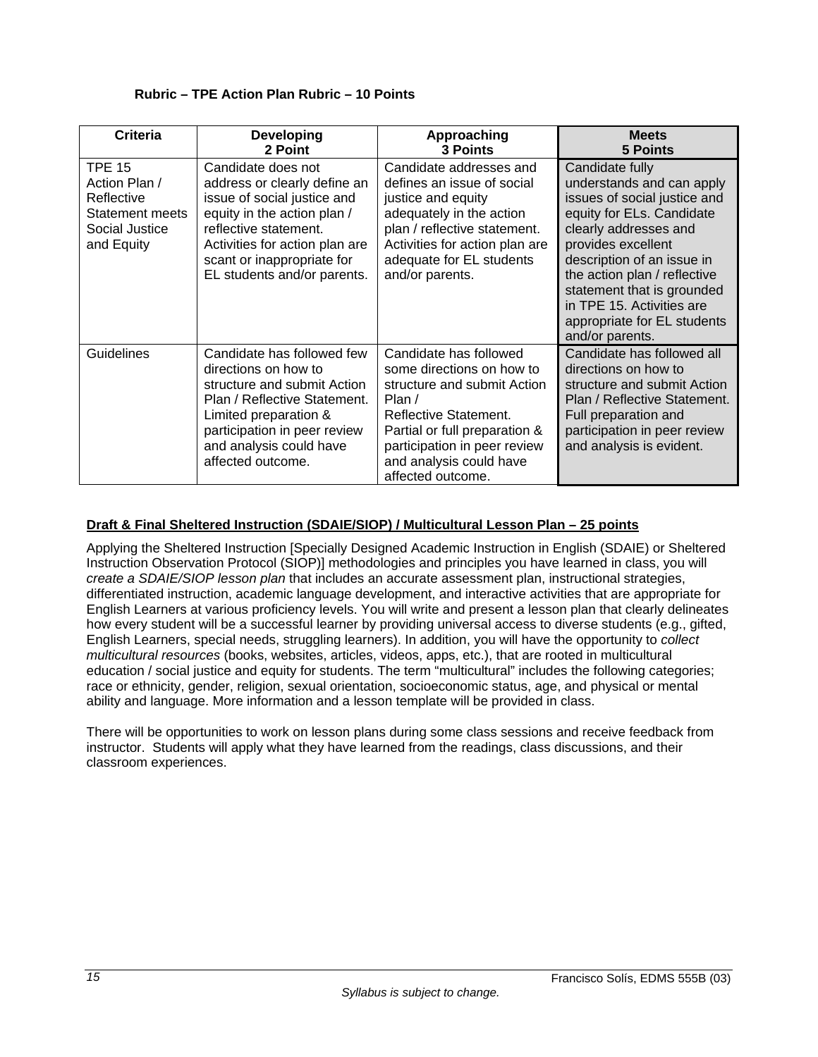| <b>Criteria</b>                                                                                 | <b>Developing</b><br>2 Point                                                                                                                                                                                                             | Approaching<br><b>3 Points</b>                                                                                                                                                                                                           | <b>Meets</b><br><b>5 Points</b>                                                                                                                                                                                                                                                                                                     |
|-------------------------------------------------------------------------------------------------|------------------------------------------------------------------------------------------------------------------------------------------------------------------------------------------------------------------------------------------|------------------------------------------------------------------------------------------------------------------------------------------------------------------------------------------------------------------------------------------|-------------------------------------------------------------------------------------------------------------------------------------------------------------------------------------------------------------------------------------------------------------------------------------------------------------------------------------|
| <b>TPE 15</b><br>Action Plan /<br>Reflective<br>Statement meets<br>Social Justice<br>and Equity | Candidate does not<br>address or clearly define an<br>issue of social justice and<br>equity in the action plan /<br>reflective statement.<br>Activities for action plan are<br>scant or inappropriate for<br>EL students and/or parents. | Candidate addresses and<br>defines an issue of social<br>justice and equity<br>adequately in the action<br>plan / reflective statement.<br>Activities for action plan are<br>adequate for EL students<br>and/or parents.                 | Candidate fully<br>understands and can apply<br>issues of social justice and<br>equity for ELs. Candidate<br>clearly addresses and<br>provides excellent<br>description of an issue in<br>the action plan / reflective<br>statement that is grounded<br>in TPE 15. Activities are<br>appropriate for EL students<br>and/or parents. |
| Guidelines                                                                                      | Candidate has followed few<br>directions on how to<br>structure and submit Action<br>Plan / Reflective Statement.<br>Limited preparation &<br>participation in peer review<br>and analysis could have<br>affected outcome.               | Candidate has followed<br>some directions on how to<br>structure and submit Action<br>Plan $/$<br>Reflective Statement.<br>Partial or full preparation &<br>participation in peer review<br>and analysis could have<br>affected outcome. | Candidate has followed all<br>directions on how to<br>structure and submit Action<br>Plan / Reflective Statement.<br>Full preparation and<br>participation in peer review<br>and analysis is evident.                                                                                                                               |

## **Rubric – TPE Action Plan Rubric – 10 Points**

# **Draft & Final Sheltered Instruction (SDAIE/SIOP) / Multicultural Lesson Plan – 25 points**

Applying the Sheltered Instruction [Specially Designed Academic Instruction in English (SDAIE) or Sheltered Instruction Observation Protocol (SIOP)] methodologies and principles you have learned in class, you will *create a SDAIE/SIOP lesson plan* that includes an accurate assessment plan, instructional strategies, differentiated instruction, academic language development, and interactive activities that are appropriate for English Learners at various proficiency levels. You will write and present a lesson plan that clearly delineates how every student will be a successful learner by providing universal access to diverse students (e.g., gifted, English Learners, special needs, struggling learners). In addition, you will have the opportunity to *collect multicultural resources* (books, websites, articles, videos, apps, etc.), that are rooted in multicultural education / social justice and equity for students. The term "multicultural" includes the following categories; race or ethnicity, gender, religion, sexual orientation, socioeconomic status, age, and physical or mental ability and language. More information and a lesson template will be provided in class.

There will be opportunities to work on lesson plans during some class sessions and receive feedback from instructor. Students will apply what they have learned from the readings, class discussions, and their classroom experiences.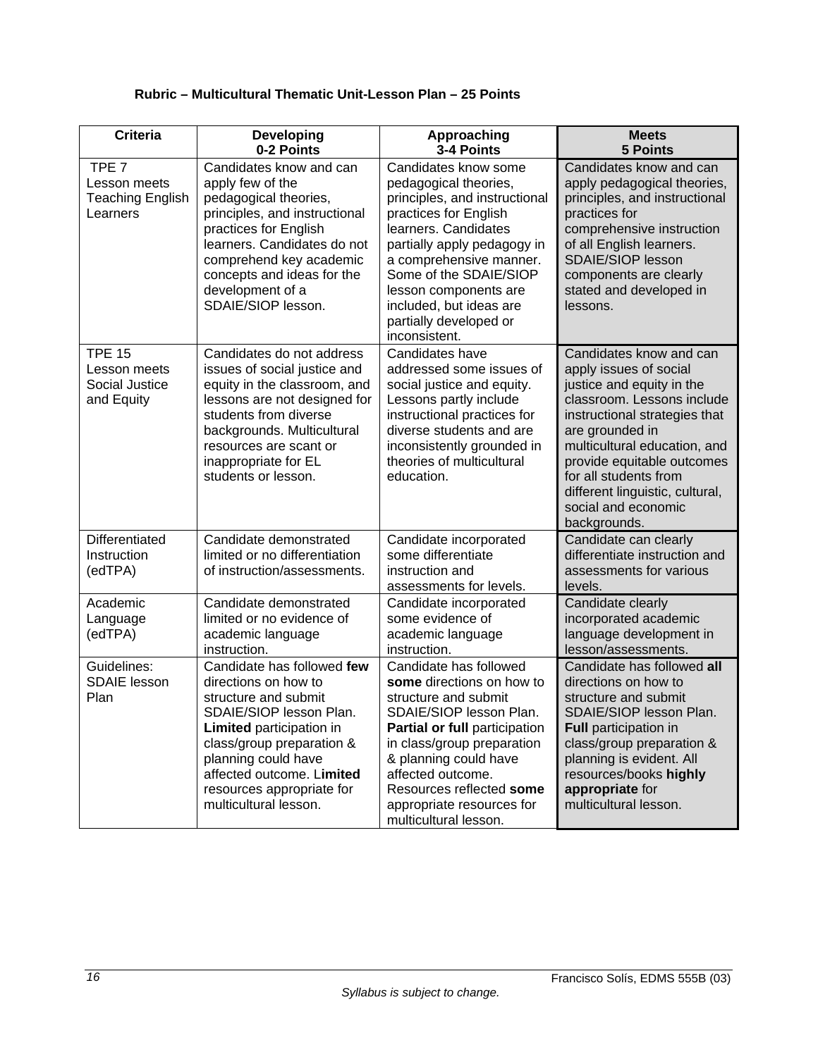| <b>Criteria</b>                                                         | <b>Developing</b><br>0-2 Points                                                                                                                                                                                                                                                 | Approaching<br>3-4 Points                                                                                                                                                                                                                                                                                          | <b>Meets</b><br><b>5 Points</b>                                                                                                                                                                                                                                                                                                   |  |  |  |
|-------------------------------------------------------------------------|---------------------------------------------------------------------------------------------------------------------------------------------------------------------------------------------------------------------------------------------------------------------------------|--------------------------------------------------------------------------------------------------------------------------------------------------------------------------------------------------------------------------------------------------------------------------------------------------------------------|-----------------------------------------------------------------------------------------------------------------------------------------------------------------------------------------------------------------------------------------------------------------------------------------------------------------------------------|--|--|--|
| TPE <sub>7</sub><br>Lesson meets<br><b>Teaching English</b><br>Learners | Candidates know and can<br>apply few of the<br>pedagogical theories,<br>principles, and instructional<br>practices for English<br>learners. Candidates do not<br>comprehend key academic<br>concepts and ideas for the<br>development of a<br>SDAIE/SIOP lesson.                | Candidates know some<br>pedagogical theories,<br>principles, and instructional<br>practices for English<br>learners. Candidates<br>partially apply pedagogy in<br>a comprehensive manner.<br>Some of the SDAIE/SIOP<br>lesson components are<br>included, but ideas are<br>partially developed or<br>inconsistent. | Candidates know and can<br>apply pedagogical theories,<br>principles, and instructional<br>practices for<br>comprehensive instruction<br>of all English learners.<br><b>SDAIE/SIOP lesson</b><br>components are clearly<br>stated and developed in<br>lessons.                                                                    |  |  |  |
| <b>TPE 15</b><br>Lesson meets<br>Social Justice<br>and Equity           | Candidates do not address<br>issues of social justice and<br>equity in the classroom, and<br>lessons are not designed for<br>students from diverse<br>backgrounds. Multicultural<br>resources are scant or<br>inappropriate for EL<br>students or lesson.                       | Candidates have<br>addressed some issues of<br>social justice and equity.<br>Lessons partly include<br>instructional practices for<br>diverse students and are<br>inconsistently grounded in<br>theories of multicultural<br>education.                                                                            | Candidates know and can<br>apply issues of social<br>justice and equity in the<br>classroom. Lessons include<br>instructional strategies that<br>are grounded in<br>multicultural education, and<br>provide equitable outcomes<br>for all students from<br>different linguistic, cultural,<br>social and economic<br>backgrounds. |  |  |  |
| Differentiated<br>Instruction<br>(edTPA)                                | Candidate demonstrated<br>limited or no differentiation<br>of instruction/assessments.                                                                                                                                                                                          | Candidate incorporated<br>some differentiate<br>instruction and<br>assessments for levels.                                                                                                                                                                                                                         | Candidate can clearly<br>differentiate instruction and<br>assessments for various<br>levels.                                                                                                                                                                                                                                      |  |  |  |
| Academic<br>Language<br>(edTPA)                                         | Candidate demonstrated<br>limited or no evidence of<br>academic language<br>instruction.                                                                                                                                                                                        | Candidate incorporated<br>some evidence of<br>academic language<br>instruction.                                                                                                                                                                                                                                    | Candidate clearly<br>incorporated academic<br>language development in<br>lesson/assessments.                                                                                                                                                                                                                                      |  |  |  |
| Guidelines:<br><b>SDAIE</b> lesson<br>Plan                              | Candidate has followed few<br>directions on how to<br>structure and submit<br>SDAIE/SIOP lesson Plan.<br><b>Limited</b> participation in<br>class/group preparation &<br>planning could have<br>affected outcome. Limited<br>resources appropriate for<br>multicultural lesson. | Candidate has followed<br>some directions on how to<br>structure and submit<br>SDAIE/SIOP lesson Plan.<br>Partial or full participation<br>in class/group preparation<br>& planning could have<br>affected outcome.<br>Resources reflected some<br>appropriate resources for<br>multicultural lesson.              | Candidate has followed all<br>directions on how to<br>structure and submit<br>SDAIE/SIOP lesson Plan.<br><b>Full participation in</b><br>class/group preparation &<br>planning is evident. All<br>resources/books highly<br>appropriate for<br>multicultural lesson.                                                              |  |  |  |

# **Rubric – Multicultural Thematic Unit-Lesson Plan – 25 Points**